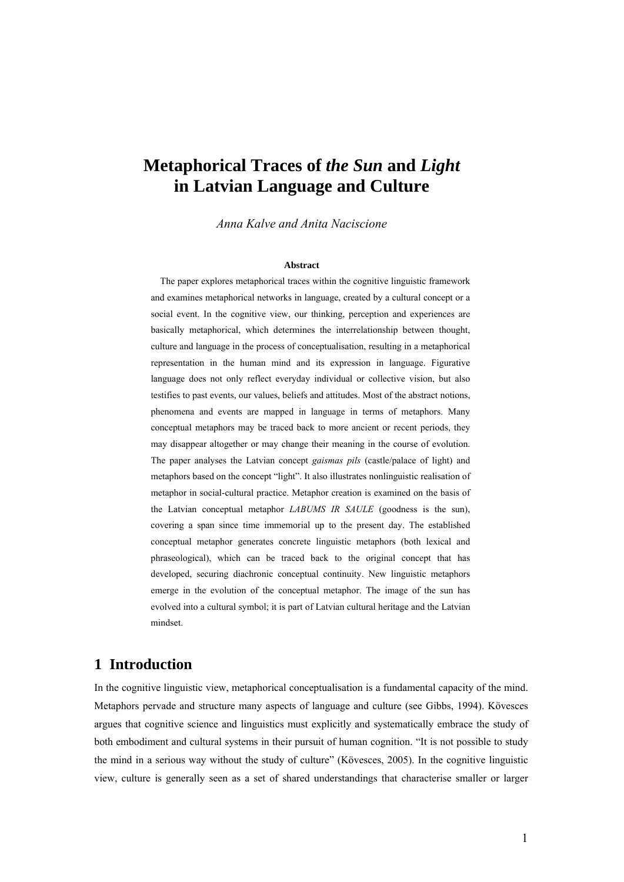# **Metaphorical Traces of** *the Sun* **and** *Light* **in Latvian Language and Culture**

*Anna Kalve and Anita Naciscione* 

#### **Abstract**

 The paper explores metaphorical traces within the cognitive linguistic framework and examines metaphorical networks in language, created by a cultural concept or a social event. In the cognitive view, our thinking, perception and experiences are basically metaphorical, which determines the interrelationship between thought, culture and language in the process of conceptualisation, resulting in a metaphorical representation in the human mind and its expression in language. Figurative language does not only reflect everyday individual or collective vision, but also testifies to past events, our values, beliefs and attitudes. Most of the abstract notions, phenomena and events are mapped in language in terms of metaphors. Many conceptual metaphors may be traced back to more ancient or recent periods, they may disappear altogether or may change their meaning in the course of evolution. The paper analyses the Latvian concept *gaismas pils* (castle/palace of light) and metaphors based on the concept "light". It also illustrates nonlinguistic realisation of metaphor in social-cultural practice. Metaphor creation is examined on the basis of the Latvian conceptual metaphor *LABUMS IR SAULE* (goodness is the sun), covering a span since time immemorial up to the present day. The established conceptual metaphor generates concrete linguistic metaphors (both lexical and phraseological), which can be traced back to the original concept that has developed, securing diachronic conceptual continuity. New linguistic metaphors emerge in the evolution of the conceptual metaphor. The image of the sun has evolved into a cultural symbol; it is part of Latvian cultural heritage and the Latvian mindset.

### **1 Introduction**

In the cognitive linguistic view, metaphorical conceptualisation is a fundamental capacity of the mind. Metaphors pervade and structure many aspects of language and culture (see Gibbs, 1994). Kövesces argues that cognitive science and linguistics must explicitly and systematically embrace the study of both embodiment and cultural systems in their pursuit of human cognition. "It is not possible to study the mind in a serious way without the study of culture" (Kövesces, 2005). In the cognitive linguistic view, culture is generally seen as a set of shared understandings that characterise smaller or larger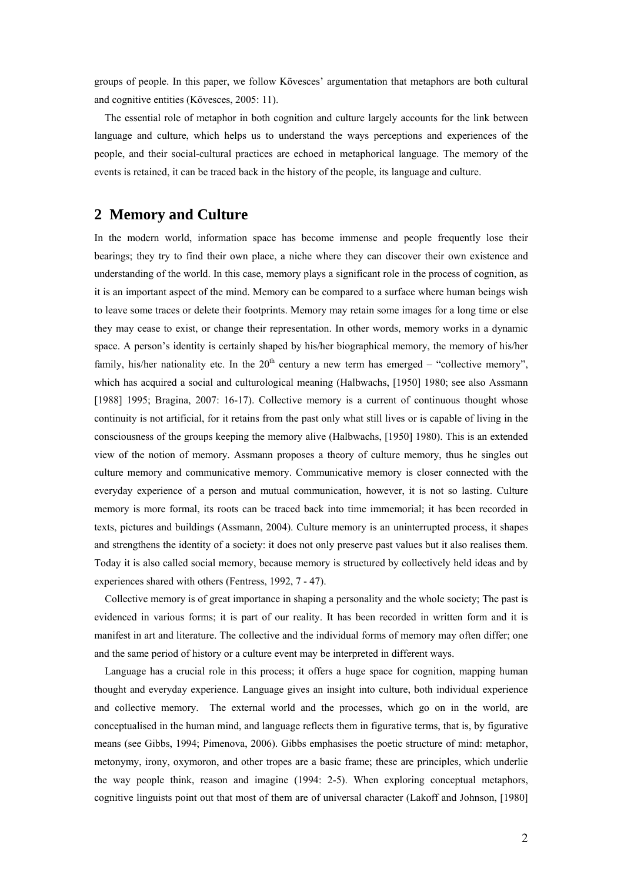groups of people. In this paper, we follow Kövesces' argumentation that metaphors are both cultural and cognitive entities (Kövesces, 2005: 11).

 The essential role of metaphor in both cognition and culture largely accounts for the link between language and culture, which helps us to understand the ways perceptions and experiences of the people, and their social-cultural practices are echoed in metaphorical language. The memory of the events is retained, it can be traced back in the history of the people, its language and culture.

#### **2 Memory and Culture**

In the modern world, information space has become immense and people frequently lose their bearings; they try to find their own place, a niche where they can discover their own existence and understanding of the world. In this case, memory plays a significant role in the process of cognition, as it is an important aspect of the mind. Memory can be compared to a surface where human beings wish to leave some traces or delete their footprints. Memory may retain some images for a long time or else they may cease to exist, or change their representation. In other words, memory works in a dynamic space. A person's identity is certainly shaped by his/her biographical memory, the memory of his/her family, his/her nationality etc. In the  $20<sup>th</sup>$  century a new term has emerged – "collective memory", which has acquired a social and culturological meaning (Halbwachs, [1950] 1980; see also Assmann [1988] 1995; Bragina, 2007: 16-17). Collective memory is a current of continuous thought whose continuity is not artificial, for it retains from the past only what still lives or is capable of living in the consciousness of the groups keeping the memory alive (Halbwachs, [1950] 1980). This is an extended view of the notion of memory. Assmann proposes a theory of culture memory, thus he singles out culture memory and communicative memory. Communicative memory is closer connected with the everyday experience of a person and mutual communication, however, it is not so lasting. Culture memory is more formal, its roots can be traced back into time immemorial; it has been recorded in texts, pictures and buildings (Assmann, 2004). Culture memory is an uninterrupted process, it shapes and strengthens the identity of a society: it does not only preserve past values but it also realises them. Today it is also called social memory, because memory is structured by collectively held ideas and by experiences shared with others (Fentress, 1992, 7 - 47).

 Collective memory is of great importance in shaping a personality and the whole society; The past is evidenced in various forms; it is part of our reality. It has been recorded in written form and it is manifest in art and literature. The collective and the individual forms of memory may often differ; one and the same period of history or a culture event may be interpreted in different ways.

 Language has a crucial role in this process; it offers a huge space for cognition, mapping human thought and everyday experience. Language gives an insight into culture, both individual experience and collective memory. The external world and the processes, which go on in the world, are conceptualised in the human mind, and language reflects them in figurative terms, that is, by figurative means (see Gibbs, 1994; Pimenova, 2006). Gibbs emphasises the poetic structure of mind: metaphor, metonymy, irony, oxymoron, and other tropes are a basic frame; these are principles, which underlie the way people think, reason and imagine (1994: 2-5). When exploring conceptual metaphors, cognitive linguists point out that most of them are of universal character (Lakoff and Johnson, [1980]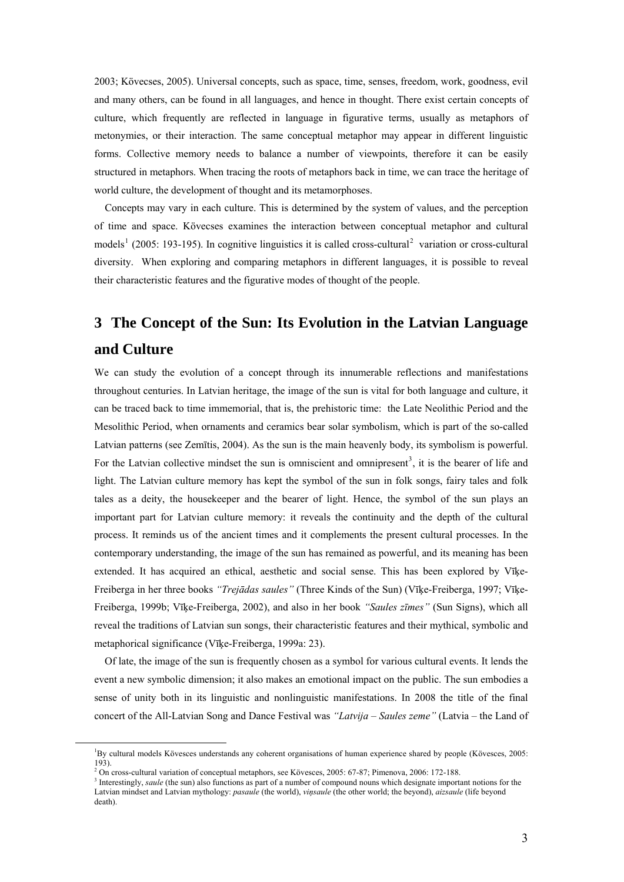2003; Kövecses, 2005). Universal concepts, such as space, time, senses, freedom, work, goodness, evil and many others, can be found in all languages, and hence in thought. There exist certain concepts of culture, which frequently are reflected in language in figurative terms, usually as metaphors of metonymies, or their interaction. The same conceptual metaphor may appear in different linguistic forms. Collective memory needs to balance a number of viewpoints, therefore it can be easily structured in metaphors. When tracing the roots of metaphors back in time, we can trace the heritage of world culture, the development of thought and its metamorphoses.

 Concepts may vary in each culture. This is determined by the system of values, and the perception of time and space. Kövecses examines the interaction between conceptual metaphor and cultural models<sup>[1](#page-2-0)</sup> ([2](#page-2-1)005: 193-195). In cognitive linguistics it is called cross-cultural<sup>2</sup> variation or cross-cultural diversity. When exploring and comparing metaphors in different languages, it is possible to reveal their characteristic features and the figurative modes of thought of the people.

# **3 The Concept of the Sun: Its Evolution in the Latvian Language and Culture**

We can study the evolution of a concept through its innumerable reflections and manifestations throughout centuries. In Latvian heritage, the image of the sun is vital for both language and culture, it can be traced back to time immemorial, that is, the prehistoric time: the Late Neolithic Period and the Mesolithic Period, when ornaments and ceramics bear solar symbolism, which is part of the so-called Latvian patterns (see Zemītis, 2004). As the sun is the main heavenly body, its symbolism is powerful. For the Latvian collective mindset the sun is omniscient and omnipresent<sup>[3](#page-2-2)</sup>, it is the bearer of life and light. The Latvian culture memory has kept the symbol of the sun in folk songs, fairy tales and folk tales as a deity, the housekeeper and the bearer of light. Hence, the symbol of the sun plays an important part for Latvian culture memory: it reveals the continuity and the depth of the cultural process. It reminds us of the ancient times and it complements the present cultural processes. In the contemporary understanding, the image of the sun has remained as powerful, and its meaning has been extended. It has acquired an ethical, aesthetic and social sense. This has been explored by Vīķe-Freiberga in her three books *"Trejādas saules"* (Three Kinds of the Sun) (Vīķe-Freiberga, 1997; Vīķe-Freiberga, 1999b; Vīķe-Freiberga, 2002), and also in her book *"Saules zīmes"* (Sun Signs), which all reveal the traditions of Latvian sun songs, their characteristic features and their mythical, symbolic and metaphorical significance (Vīķe-Freiberga, 1999a: 23).

 Of late, the image of the sun is frequently chosen as a symbol for various cultural events. It lends the event a new symbolic dimension; it also makes an emotional impact on the public. The sun embodies a sense of unity both in its linguistic and nonlinguistic manifestations. In 2008 the title of the final concert of the All-Latvian Song and Dance Festival was *"Latvija – Saules zeme"* (Latvia – the Land of

<span id="page-2-2"></span><span id="page-2-1"></span><span id="page-2-0"></span> $\frac{1}{1}$ By cultural models Kövesces understands any coherent organisations of human experience shared by people (Kövesces, 2005: 193).

<sup>&</sup>lt;sup>2</sup> On cross-cultural variation of conceptual metaphors, see Kövesces, 2005: 67-87; Pimenova, 2006: 172-188. <sup>3</sup><br><sup>3</sup> Interestingly, equile (the sun) also functions as part of a number of compound nouns which designate imp

<sup>&</sup>lt;sup>3</sup> Interestingly, *saule* (the sun) also functions as part of a number of compound nouns which designate important notions for the Latvian mindset and Latvian mythology: *pasaule* (the world), *viņsaule* (the other world; the beyond), *aizsaule* (life beyond death).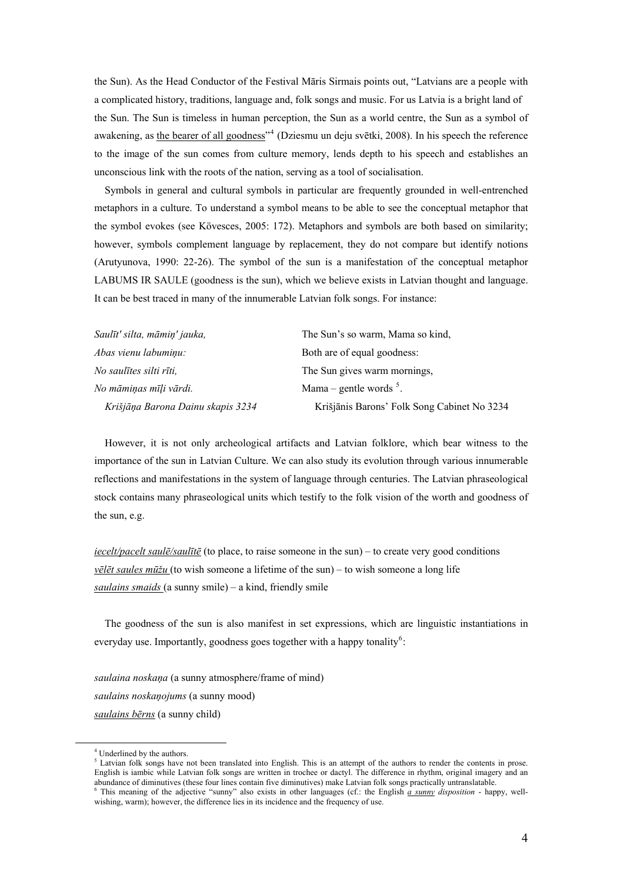the Sun). As the Head Conductor of the Festival Māris Sirmais points out, "Latvians are a people with a complicated history, traditions, language and, folk songs and music. For us Latvia is a bright land of the Sun. The Sun is timeless in human perception, the Sun as a world centre, the Sun as a symbol of awakening, as the bearer of all goodness<sup>"[4](#page-3-0)</sup> (Dziesmu un deju svētki, 2008). In his speech the reference to the image of the sun comes from culture memory, lends depth to his speech and establishes an unconscious link with the roots of the nation, serving as a tool of socialisation.

 Symbols in general and cultural symbols in particular are frequently grounded in well-entrenched metaphors in a culture. To understand a symbol means to be able to see the conceptual metaphor that the symbol evokes (see Kövesces, 2005: 172). Metaphors and symbols are both based on similarity; however, symbols complement language by replacement, they do not compare but identify notions (Arutyunova, 1990: 22-26). The symbol of the sun is a manifestation of the conceptual metaphor LABUMS IR SAULE (goodness is the sun), which we believe exists in Latvian thought and language. It can be best traced in many of the innumerable Latvian folk songs. For instance:

| Saulīt' silta, māmiņ' jauka,      | The Sun's so warm, Mama so kind,            |
|-----------------------------------|---------------------------------------------|
| Abas vienu labumiņu:              | Both are of equal goodness:                 |
| No saulītes silti rīti,           | The Sun gives warm mornings,                |
| No māminas mīli vārdi.            | Mama – gentle words $5$ .                   |
| Krišjāņa Barona Dainu skapis 3234 | Krišjānis Barons' Folk Song Cabinet No 3234 |

 However, it is not only archeological artifacts and Latvian folklore, which bear witness to the importance of the sun in Latvian Culture. We can also study its evolution through various innumerable reflections and manifestations in the system of language through centuries. The Latvian phraseological stock contains many phraseological units which testify to the folk vision of the worth and goodness of the sun, e.g.

*iecelt/pacelt saulē/saulītē* (to place, to raise someone in the sun) – to create very good conditions *vēlēt saules mūžu* (to wish someone a lifetime of the sun) – to wish someone a long life *saulains smaids* (a sunny smile) – a kind, friendly smile

 The goodness of the sun is also manifest in set expressions, which are linguistic instantiations in everyday use. Importantly, goodness goes together with a happy tonality<sup>[6](#page-3-2)</sup>:

*saulaina noskaņa* (a sunny atmosphere/frame of mind) *saulains noskaņojums* (a sunny mood) *saulains bērns* (a sunny child)

<sup>5</sup> Latvian folk songs have not been translated into English. This is an attempt of the authors to render the contents in prose. English is iambic while Latvian folk songs are written in trochee or dactyl. The difference in rhythm, original imagery and an abundance of diminutives (these four lines contain five diminutives) make Latvian folk songs practically untranslatable.<br><sup>6</sup> This meaning of the adjective "sunny" also exists in other languages (cf.: the English <u>a sunny</u>

<span id="page-3-2"></span><span id="page-3-1"></span><span id="page-3-0"></span> $\frac{1}{4}$ <sup>4</sup> Underlined by the authors.

wishing, warm); however, the difference lies in its incidence and the frequency of use.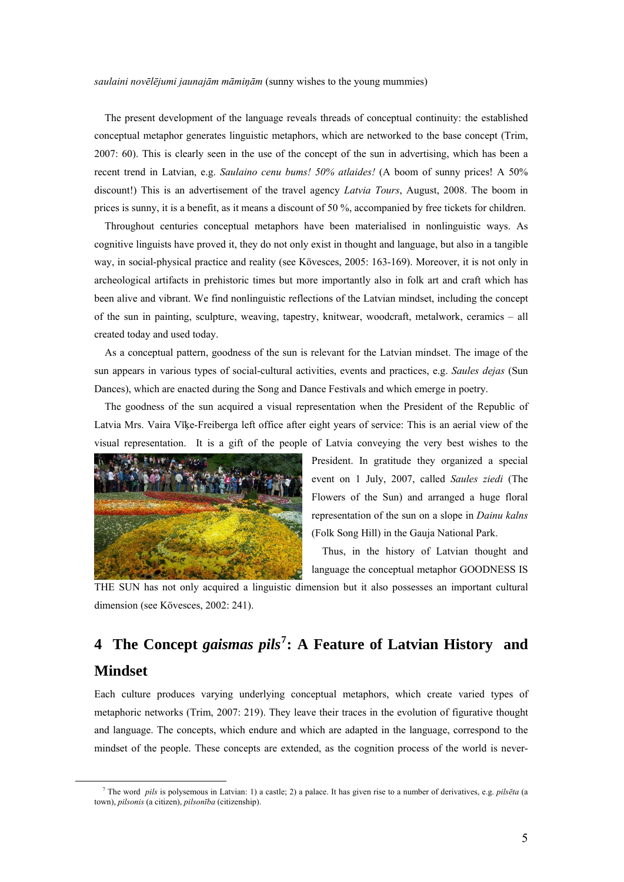*saulaini novēlējumi jaunajām māmiņām* (sunny wishes to the young mummies)

The present development of the language reveals threads of conceptual continuity: the established conceptual metaphor generates linguistic metaphors, which are networked to the base concept (Trim, 2007: 60). This is clearly seen in the use of the concept of the sun in advertising, which has been a recent trend in Latvian, e.g. *Saulaino cenu bums! 50% atlaides!* (A boom of sunny prices! A 50% discount!) This is an advertisement of the travel agency *Latvia Tours*, August, 2008. The boom in prices is sunny, it is a benefit, as it means a discount of 50 %, accompanied by free tickets for children.

 Throughout centuries conceptual metaphors have been materialised in nonlinguistic ways. As cognitive linguists have proved it, they do not only exist in thought and language, but also in a tangible way, in social-physical practice and reality (see Kövesces, 2005: 163-169). Moreover, it is not only in archeological artifacts in prehistoric times but more importantly also in folk art and craft which has been alive and vibrant. We find nonlinguistic reflections of the Latvian mindset, including the concept of the sun in painting, sculpture, weaving, tapestry, knitwear, woodcraft, metalwork, ceramics – all created today and used today.

 As a conceptual pattern, goodness of the sun is relevant for the Latvian mindset. The image of the sun appears in various types of social-cultural activities, events and practices, e.g. *Saules dejas* (Sun Dances), which are enacted during the Song and Dance Festivals and which emerge in poetry.

 The goodness of the sun acquired a visual representation when the President of the Republic of Latvia Mrs. Vaira Vīķe-Freiberga left office after eight years of service: This is an aerial view of the visual representation. It is a gift of the people of Latvia conveying the very best wishes to the



President. In gratitude they organized a special event on 1 July, 2007, called *Saules ziedi* (The Flowers of the Sun) and arranged a huge floral representation of the sun on a slope in *Dainu kalns* (Folk Song Hill) in the Gauja National Park.

 Thus, in the history of Latvian thought and language the conceptual metaphor GOODNESS IS

THE SUN has not only acquired a linguistic dimension but it also possesses an important cultural dimension (see Kövesces, 2002: 241).

# **4 The Concept** *gaismas pils***[7](#page-4-0) : A Feature of Latvian History and Mindset**

Each culture produces varying underlying conceptual metaphors, which create varied types of metaphoric networks (Trim, 2007: 219). They leave their traces in the evolution of figurative thought and language. The concepts, which endure and which are adapted in the language, correspond to the mindset of the people. These concepts are extended, as the cognition process of the world is never-

<span id="page-4-0"></span> $\frac{1}{7}$  The word *pils* is polysemous in Latvian: 1) a castle; 2) a palace. It has given rise to a number of derivatives, e.g. *pilsēta* (a town), *pilsonis* (a citizen), *pilsonība* (citizenship).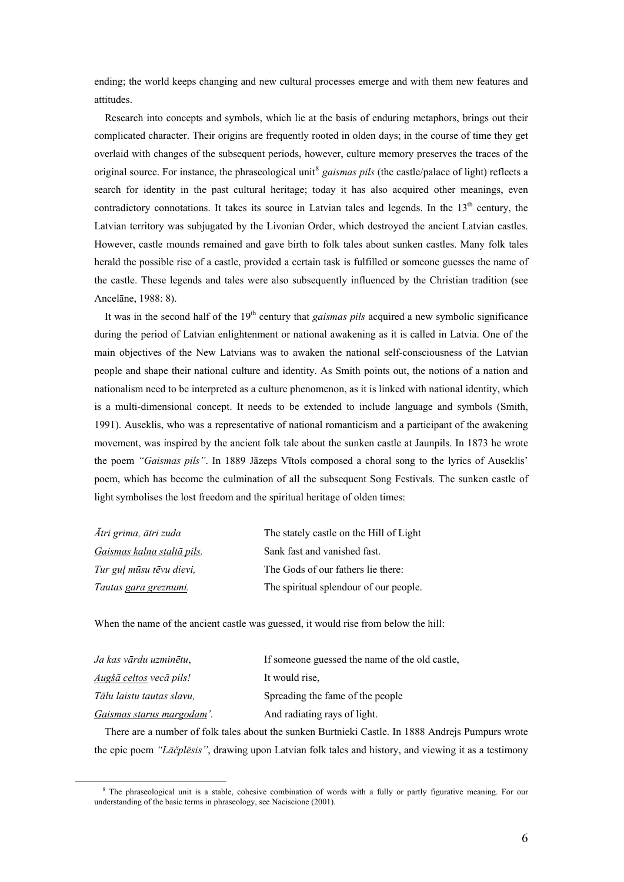ending; the world keeps changing and new cultural processes emerge and with them new features and attitudes.

 Research into concepts and symbols, which lie at the basis of enduring metaphors, brings out their complicated character. Their origins are frequently rooted in olden days; in the course of time they get overlaid with changes of the subsequent periods, however, culture memory preserves the traces of the original source. For instance, the phraseological unit<sup>[8](#page-5-0)</sup> gaismas pils (the castle/palace of light) reflects a search for identity in the past cultural heritage; today it has also acquired other meanings, even contradictory connotations. It takes its source in Latvian tales and legends. In the 13<sup>th</sup> century, the Latvian territory was subjugated by the Livonian Order, which destroyed the ancient Latvian castles. However, castle mounds remained and gave birth to folk tales about sunken castles. Many folk tales herald the possible rise of a castle, provided a certain task is fulfilled or someone guesses the name of the castle. These legends and tales were also subsequently influenced by the Christian tradition (see Ancelāne, 1988: 8).

 It was in the second half of the 19th century that *gaismas pils* acquired a new symbolic significance during the period of Latvian enlightenment or national awakening as it is called in Latvia. One of the main objectives of the New Latvians was to awaken the national self-consciousness of the Latvian people and shape their national culture and identity. As Smith points out, the notions of a nation and nationalism need to be interpreted as a culture phenomenon, as it is linked with national identity, which is a multi-dimensional concept. It needs to be extended to include language and symbols (Smith, 1991). Auseklis, who was a representative of national romanticism and a participant of the awakening movement, was inspired by the ancient folk tale about the sunken castle at Jaunpils. In 1873 he wrote the poem *"Gaismas pils"*. In 1889 Jāzeps Vītols composed a choral song to the lyrics of Auseklis' poem, which has become the culmination of all the subsequent Song Festivals. The sunken castle of light symbolises the lost freedom and the spiritual heritage of olden times:

| Ātri grima, ātri zuda      | The stately castle on the Hill of Light |
|----------------------------|-----------------------------------------|
| Gaismas kalna staltā pils. | Sank fast and vanished fast.            |
| Tur guļ mūsu tēvu dievi,   | The Gods of our fathers lie there:      |
| Tautas gara greznumi.      | The spiritual splendour of our people.  |

When the name of the ancient castle was guessed, it would rise from below the hill:

| Ja kas vārdu uzminētu.    | If someone guessed the name of the old castle. |
|---------------------------|------------------------------------------------|
| Augšā celtos vecā pils!   | It would rise.                                 |
| Tālu laistu tautas slavu. | Spreading the fame of the people               |
| Gaismas starus margodam'. | And radiating rays of light.                   |

 There are a number of folk tales about the sunken Burtnieki Castle. In 1888 Andrejs Pumpurs wrote the epic poem *"Lāčplēsis"*, drawing upon Latvian folk tales and history, and viewing it as a testimony

<span id="page-5-0"></span> <sup>8</sup> <sup>8</sup> The phraseological unit is a stable, cohesive combination of words with a fully or partly figurative meaning. For our understanding of the basic terms in phraseology, see Naciscione (2001).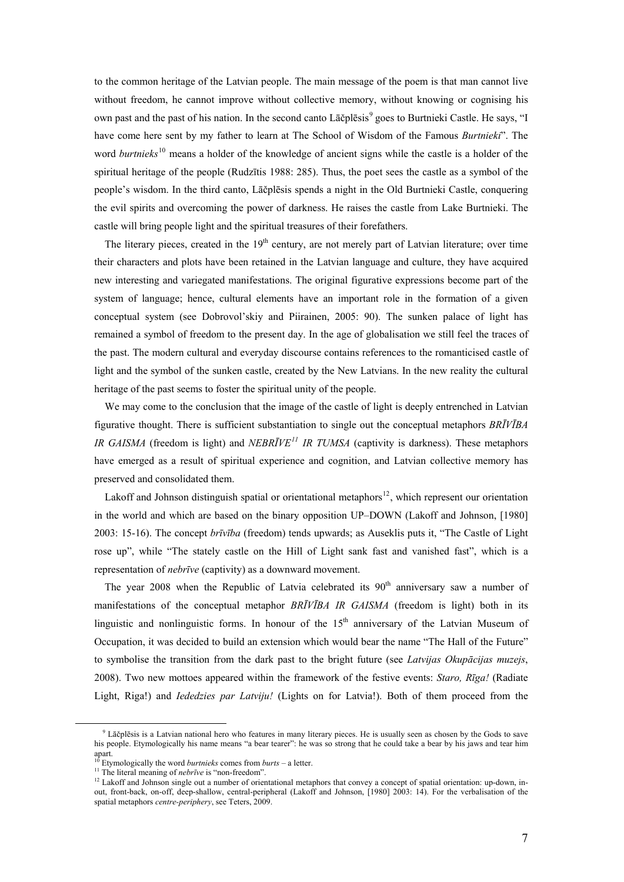to the common heritage of the Latvian people. The main message of the poem is that man cannot live without freedom, he cannot improve without collective memory, without knowing or cognising his own past and the past of his nation. In the second canto Lāčplēsis<sup>[9](#page-6-0)</sup> goes to Burtnieki Castle. He says, "I have come here sent by my father to learn at The School of Wisdom of the Famous *Burtnieki*". The word *burtnieks*<sup>[10](#page-6-1)</sup> means a holder of the knowledge of ancient signs while the castle is a holder of the spiritual heritage of the people (Rudzītis 1988: 285). Thus, the poet sees the castle as a symbol of the people's wisdom. In the third canto, Lāčplēsis spends a night in the Old Burtnieki Castle, conquering the evil spirits and overcoming the power of darkness. He raises the castle from Lake Burtnieki. The castle will bring people light and the spiritual treasures of their forefathers.

The literary pieces, created in the  $19<sup>th</sup>$  century, are not merely part of Latvian literature; over time their characters and plots have been retained in the Latvian language and culture, they have acquired new interesting and variegated manifestations. The original figurative expressions become part of the system of language; hence, cultural elements have an important role in the formation of a given conceptual system (see Dobrovol'skiy and Piirainen, 2005: 90). The sunken palace of light has remained a symbol of freedom to the present day. In the age of globalisation we still feel the traces of the past. The modern cultural and everyday discourse contains references to the romanticised castle of light and the symbol of the sunken castle, created by the New Latvians. In the new reality the cultural heritage of the past seems to foster the spiritual unity of the people.

We may come to the conclusion that the image of the castle of light is deeply entrenched in Latvian figurative thought. There is sufficient substantiation to single out the conceptual metaphors *BRĪVĪBA IR GAISMA* (freedom is light) and *NEBRĪVE[11](#page-6-2) IR TUMSA* (captivity is darkness). These metaphors have emerged as a result of spiritual experience and cognition, and Latvian collective memory has preserved and consolidated them.

Lakoff and Johnson distinguish spatial or orientational metaphors<sup>[12](#page-6-3)</sup>, which represent our orientation in the world and which are based on the binary opposition UP–DOWN (Lakoff and Johnson, [1980] 2003: 15-16). The concept *brīvība* (freedom) tends upwards; as Auseklis puts it, "The Castle of Light rose up", while "The stately castle on the Hill of Light sank fast and vanished fast", which is a representation of *nebrīve* (captivity) as a downward movement.

The year 2008 when the Republic of Latvia celebrated its  $90<sup>th</sup>$  anniversary saw a number of manifestations of the conceptual metaphor *BRĪVĪBA IR GAISMA* (freedom is light) both in its linguistic and nonlinguistic forms. In honour of the  $15<sup>th</sup>$  anniversary of the Latvian Museum of Occupation, it was decided to build an extension which would bear the name "The Hall of the Future" to symbolise the transition from the dark past to the bright future (see *Latvijas Okupācijas muzejs*, 2008). Two new mottoes appeared within the framework of the festive events: *Staro, Rīga!* (Radiate Light, Riga!) and *Iededzies par Latviju!* (Lights on for Latvia!). Both of them proceed from the

<span id="page-6-2"></span><span id="page-6-1"></span><span id="page-6-0"></span> $\frac{1}{\sqrt{2}}$  $\degree$  Lāčplēsis is a Latvian national hero who features in many literary pieces. He is usually seen as chosen by the Gods to save his people. Etymologically his name means "a bear tearer": he was so strong that he could take a bear by his jaws and tear him apart.<br> $^{10}$  Etymologically the word *burtnieks* comes from *burts* – a letter.

<span id="page-6-3"></span>The literal meaning of *nebrive* is "non-freedom".<br><sup>11</sup> The literal meaning of *nebrive* is "non-freedom".<br><sup>12</sup> Lakoff and Johnson single out a number of orientational metaphors that convey a concept of spatial orientatio out, front-back, on-off, deep-shallow, central-peripheral (Lakoff and Johnson, [1980] 2003: 14). For the verbalisation of the spatial metaphors *centre-periphery*, see Teters, 2009.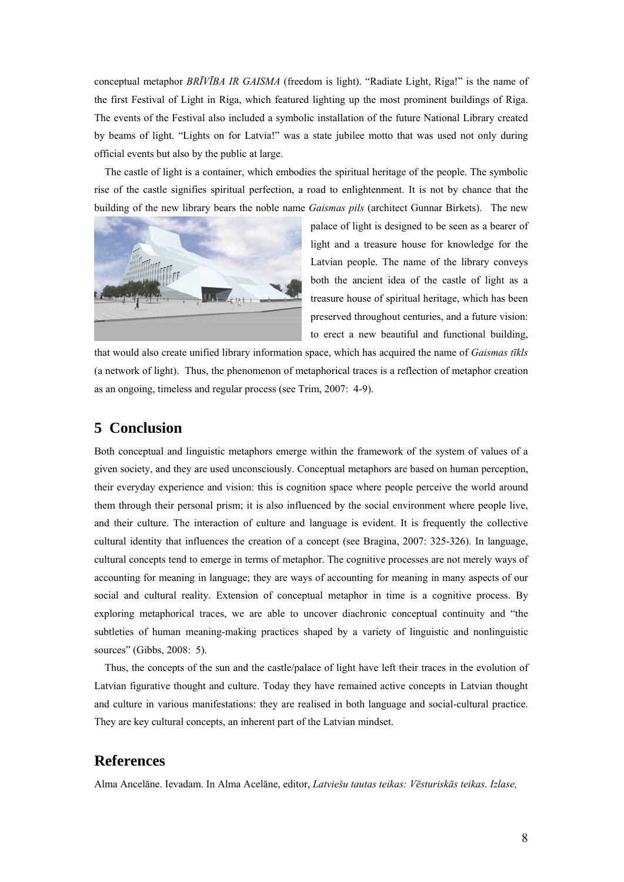conceptual metaphor *BRĪVĪBA IR GAISMA* (freedom is light). "Radiate Light, Riga!" is the name of the first Festival of Light in Riga, which featured lighting up the most prominent buildings of Riga. The events of the Festival also included a symbolic installation of the future National Library created by beams of light. "Lights on for Latvia!" was a state jubilee motto that was used not only during official events but also by the public at large.

 The castle of light is a container, which embodies the spiritual heritage of the people. The symbolic rise of the castle signifies spiritual perfection, a road to enlightenment. It is not by chance that the building of the new library bears the noble name *Gaismas pils* (architect Gunnar Birkets). The new



palace of light is designed to be seen as a bearer of light and a treasure house for knowledge for the Latvian people. The name of the library conveys both the ancient idea of the castle of light as a treasure house of spiritual heritage, which has been preserved throughout centuries, and a future vision: to erect a new beautiful and functional building,

that would also create unified library information space, which has acquired the name of *Gaismas tīkls* (a network of light). Thus, the phenomenon of metaphorical traces is a reflection of metaphor creation as an ongoing, timeless and regular process (see Trim, 2007: 4-9).

#### **5 Conclusion**

Both conceptual and linguistic metaphors emerge within the framework of the system of values of a given society, and they are used unconsciously. Conceptual metaphors are based on human perception, their everyday experience and vision: this is cognition space where people perceive the world around them through their personal prism; it is also influenced by the social environment where people live, and their culture. The interaction of culture and language is evident. It is frequently the collective cultural identity that influences the creation of a concept (see Bragina, 2007: 325-326). In language, cultural concepts tend to emerge in terms of metaphor. The cognitive processes are not merely ways of accounting for meaning in language; they are ways of accounting for meaning in many aspects of our social and cultural reality. Extension of conceptual metaphor in time is a cognitive process. By exploring metaphorical traces, we are able to uncover diachronic conceptual continuity and "the subtleties of human meaning-making practices shaped by a variety of linguistic and nonlinguistic sources" (Gibbs, 2008: 5).

 Thus, the concepts of the sun and the castle/palace of light have left their traces in the evolution of Latvian figurative thought and culture. Today they have remained active concepts in Latvian thought and culture in various manifestations: they are realised in both language and social-cultural practice. They are key cultural concepts, an inherent part of the Latvian mindset.

## **References**

Alma Ancelāne. Ievadam. In Alma Acelāne, editor, *Latviešu tautas teikas: Vēsturiskās teikas. Izlase,*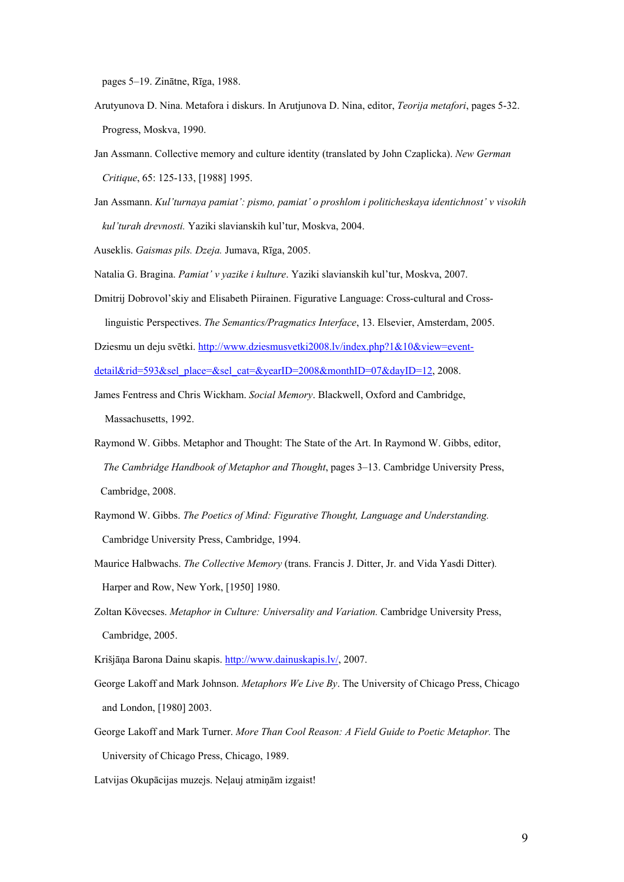pages 5–19. Zinātne, Rīga, 1988.

- Arutyunova D. Nina. Metafora i diskurs. In Arutjunova D. Nina, editor, *Teorija metafori*, pages 5-32. Progress, Moskva, 1990.
- Jan Assmann. Collective memory and culture identity (translated by John Czaplicka). *New German Critique*, 65: 125-133, [1988] 1995.
- Jan Assmann. *Kul'turnaya pamiat': pismo, pamiat' o proshlom i politicheskaya identichnost' v visokih kul'turah drevnosti.* Yaziki slavianskih kul'tur, Moskva, 2004.
- Auseklis. *Gaismas pils. Dzeja.* Jumava, Rīga, 2005.

Natalia G. Bragina. *Pamiat' v yazike i kulture*. Yaziki slavianskih kul'tur, Moskva, 2007.

Dmitrij Dobrovol'skiy and Elisabeth Piirainen. Figurative Language: Cross-cultural and Cross linguistic Perspectives. *The Semantics/Pragmatics Interface*, 13. Elsevier, Amsterdam, 2005.

Dziesmu un deju svētki. http://www.dziesmusvetki2008.lv/index.php?1&10&view=eventdetail&rid=593&sel\_place=&sel\_cat=&yearID=2008&monthID=07&dayID=12, 2008.

- James Fentress and Chris Wickham. *Social Memory*. Blackwell, Oxford and Cambridge, Massachusetts, 1992.
- Raymond W. Gibbs. Metaphor and Thought: The State of the Art. In Raymond W. Gibbs, editor, *The Cambridge Handbook of Metaphor and Thought*, pages 3–13. Cambridge University Press, Cambridge, 2008.
- Raymond W. Gibbs. *The Poetics of Mind: Figurative Thought, Language and Understanding.* Cambridge University Press, Cambridge, 1994.
- Maurice Halbwachs. *The Collective Memory* (trans. Francis J. Ditter, Jr. and Vida Yasdi Ditter)*.* Harper and Row, New York, [1950] 1980.
- Zoltan Kövecses. *Metaphor in Culture: Universality and Variation.* Cambridge University Press, Cambridge, 2005.
- Krišjāņa Barona Dainu skapis. http://www.dainuskapis.lv/, 2007.
- George Lakoff and Mark Johnson. *Metaphors We Live By*. The University of Chicago Press, Chicago and London, [1980] 2003.
- George Lakoff and Mark Turner. *More Than Cool Reason: A Field Guide to Poetic Metaphor.* The University of Chicago Press, Chicago, 1989.

Latvijas Okupācijas muzejs. Neļauj atmiņām izgaist!